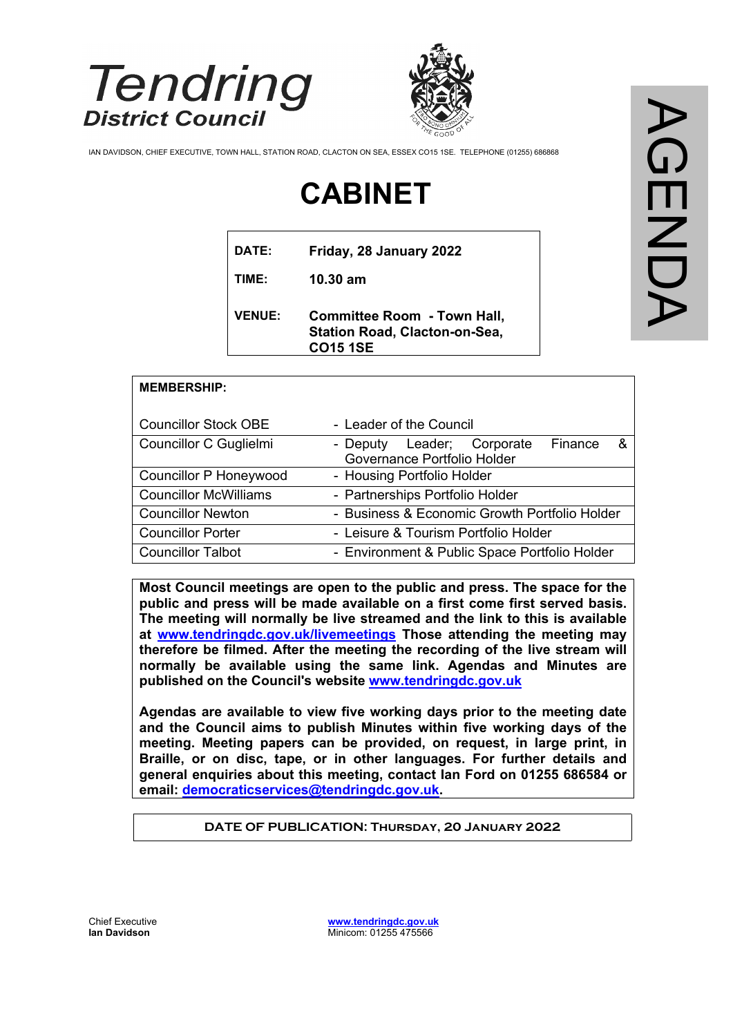

**MEMBERSHIP:**



IAN DAVIDSON, CHIEF EXECUTIVE, TOWN HALL, STATION ROAD, CLACTON ON SEA, ESSEX CO15 1SE. TELEPHONE (01255) 686868

# **CABINET**

| DATE:         | Friday, 28 January 2022                                                                       |
|---------------|-----------------------------------------------------------------------------------------------|
| TIME:         | $10.30$ am                                                                                    |
| <b>VENUE:</b> | <b>Committee Room - Town Hall,</b><br><b>Station Road, Clacton-on-Sea,</b><br><b>CO15 1SE</b> |

| <b>Councillor Stock OBE</b>   | - Leader of the Council                                                          |
|-------------------------------|----------------------------------------------------------------------------------|
| Councillor C Guglielmi        | &<br><b>Finance</b><br>- Deputy Leader; Corporate<br>Governance Portfolio Holder |
| <b>Councillor P Honeywood</b> | - Housing Portfolio Holder                                                       |
| <b>Councillor McWilliams</b>  | - Partnerships Portfolio Holder                                                  |
| <b>Councillor Newton</b>      | - Business & Economic Growth Portfolio Holder                                    |
| <b>Councillor Porter</b>      | - Leisure & Tourism Portfolio Holder                                             |
| <b>Councillor Talbot</b>      | - Environment & Public Space Portfolio Holder                                    |

**Most Council meetings are open to the public and press. The space for the public and press will be made available on a first come first served basis. The meeting will normally be live streamed and the link to this is available at [www.tendringdc.gov.uk/livemeetings](http://www.tendringdc.gov.uk/livemeetings) Those attending the meeting may therefore be filmed. After the meeting the recording of the live stream will normally be available using the same link. Agendas and Minutes are published on the Council's website [www.tendringdc.gov.uk](http://www.tendringdc.gov.uk/)**

**Agendas are available to view five working days prior to the meeting date and the Council aims to publish Minutes within five working days of the meeting. Meeting papers can be provided, on request, in large print, in Braille, or on disc, tape, or in other languages. For further details and general enquiries about this meeting, contact Ian Ford on 01255 686584 or email: [democraticservices@tendringdc.gov.uk.](mailto:democraticservices@tendringdc.gov.uk)**

**DATE OF PUBLICATION: Thursday, 20 January 2022**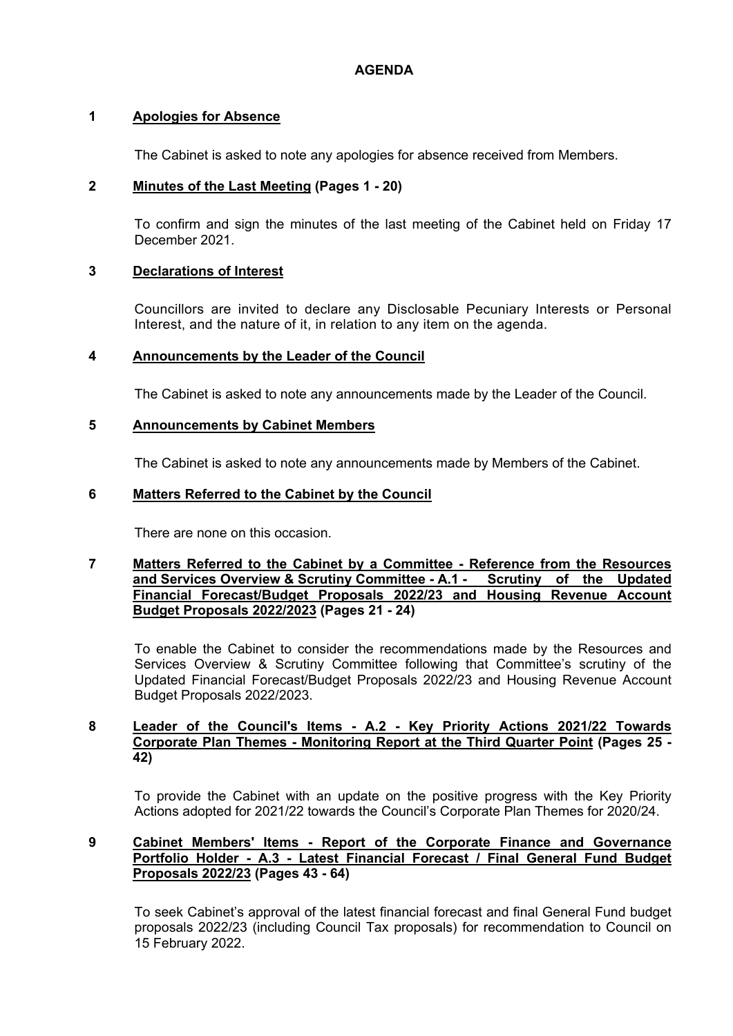#### **AGENDA**

#### **1 Apologies for Absence**

The Cabinet is asked to note any apologies for absence received from Members.

#### **2 Minutes of the Last Meeting (Pages 1 - 20)**

To confirm and sign the minutes of the last meeting of the Cabinet held on Friday 17 December 2021.

#### **3 Declarations of Interest**

Councillors are invited to declare any Disclosable Pecuniary Interests or Personal Interest, and the nature of it, in relation to any item on the agenda.

#### **4 Announcements by the Leader of the Council**

The Cabinet is asked to note any announcements made by the Leader of the Council.

#### **5 Announcements by Cabinet Members**

The Cabinet is asked to note any announcements made by Members of the Cabinet.

#### **6 Matters Referred to the Cabinet by the Council**

There are none on this occasion.

#### **7 Matters Referred to the Cabinet by a Committee - Reference from the Resources and Services Overview & Scrutiny Committee - A.1 <b>-Financial Forecast/Budget Proposals 2022/23 and Housing Revenue Account Budget Proposals 2022/2023 (Pages 21 - 24)**

To enable the Cabinet to consider the recommendations made by the Resources and Services Overview & Scrutiny Committee following that Committee's scrutiny of the Updated Financial Forecast/Budget Proposals 2022/23 and Housing Revenue Account Budget Proposals 2022/2023.

#### **8 Leader of the Council's Items - A.2 - Key Priority Actions 2021/22 Towards Corporate Plan Themes - Monitoring Report at the Third Quarter Point (Pages 25 - 42)**

To provide the Cabinet with an update on the positive progress with the Key Priority Actions adopted for 2021/22 towards the Council's Corporate Plan Themes for 2020/24.

#### **9 Cabinet Members' Items - Report of the Corporate Finance and Governance Portfolio Holder - A.3 - Latest Financial Forecast / Final General Fund Budget Proposals 2022/23 (Pages 43 - 64)**

To seek Cabinet's approval of the latest financial forecast and final General Fund budget proposals 2022/23 (including Council Tax proposals) for recommendation to Council on 15 February 2022.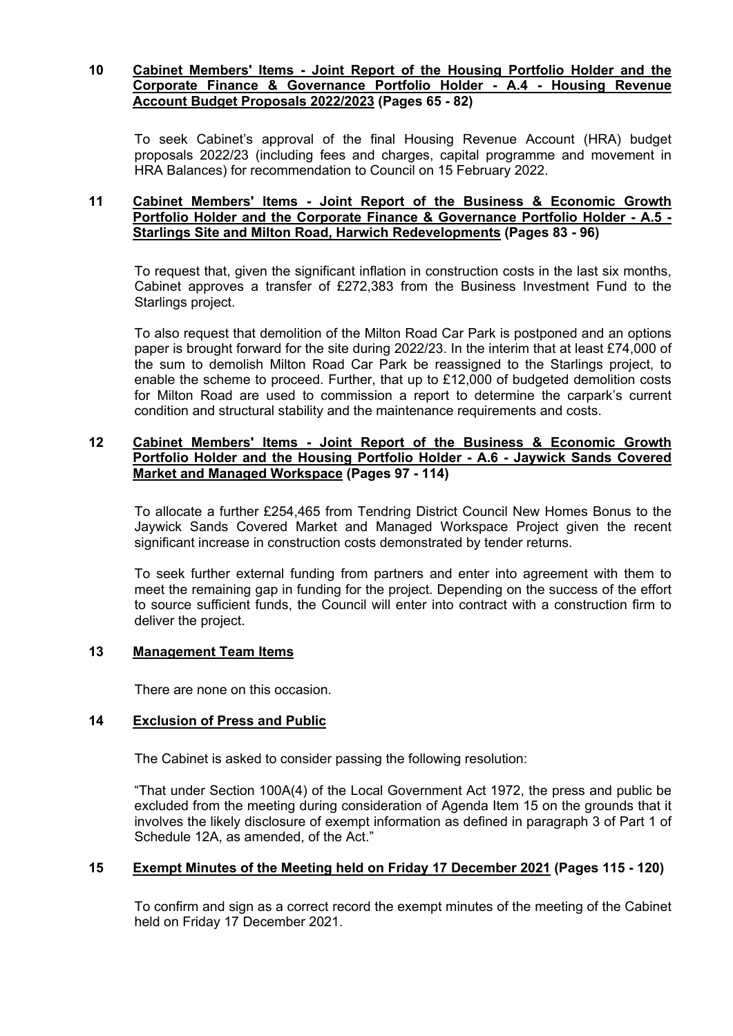#### **10 Cabinet Members' Items - Joint Report of the Housing Portfolio Holder and the Corporate Finance & Governance Portfolio Holder - A.4 - Housing Revenue Account Budget Proposals 2022/2023 (Pages 65 - 82)**

To seek Cabinet's approval of the final Housing Revenue Account (HRA) budget proposals 2022/23 (including fees and charges, capital programme and movement in HRA Balances) for recommendation to Council on 15 February 2022.

#### **11 Cabinet Members' Items - Joint Report of the Business & Economic Growth Portfolio Holder and the Corporate Finance & Governance Portfolio Holder - A.5 - Starlings Site and Milton Road, Harwich Redevelopments (Pages 83 - 96)**

To request that, given the significant inflation in construction costs in the last six months, Cabinet approves a transfer of £272,383 from the Business Investment Fund to the Starlings project.

To also request that demolition of the Milton Road Car Park is postponed and an options paper is brought forward for the site during 2022/23. In the interim that at least £74,000 of the sum to demolish Milton Road Car Park be reassigned to the Starlings project, to enable the scheme to proceed. Further, that up to £12,000 of budgeted demolition costs for Milton Road are used to commission a report to determine the carpark's current condition and structural stability and the maintenance requirements and costs.

#### **12 Cabinet Members' Items - Joint Report of the Business & Economic Growth Portfolio Holder and the Housing Portfolio Holder - A.6 - Jaywick Sands Covered Market and Managed Workspace (Pages 97 - 114)**

To allocate a further £254,465 from Tendring District Council New Homes Bonus to the Jaywick Sands Covered Market and Managed Workspace Project given the recent significant increase in construction costs demonstrated by tender returns.

To seek further external funding from partners and enter into agreement with them to meet the remaining gap in funding for the project. Depending on the success of the effort to source sufficient funds, the Council will enter into contract with a construction firm to deliver the project.

#### **13 Management Team Items**

There are none on this occasion.

#### **14 Exclusion of Press and Public**

The Cabinet is asked to consider passing the following resolution:

"That under Section 100A(4) of the Local Government Act 1972, the press and public be excluded from the meeting during consideration of Agenda Item 15 on the grounds that it involves the likely disclosure of exempt information as defined in paragraph 3 of Part 1 of Schedule 12A, as amended, of the Act."

#### **15 Exempt Minutes of the Meeting held on Friday 17 December 2021 (Pages 115 - 120)**

To confirm and sign as a correct record the exempt minutes of the meeting of the Cabinet held on Friday 17 December 2021.